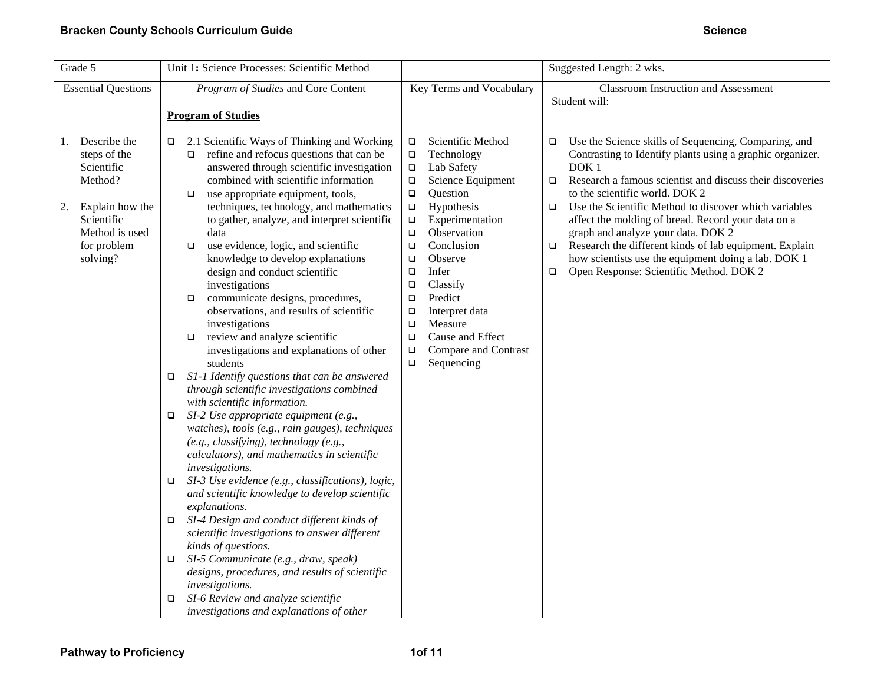| Grade 5                                                                                                                                         | Unit 1: Science Processes: Scientific Method                                                                                                                                                                                                                                                                                                                                                                                                                                                                                                                                                                                                                                                                                                                                                                                                                                                                                                                                                                                                                                                                                                                                                                                                                                                                                                                                                                                                                                                                 |                                                                                                                                                                                                                                                                                                                                                                                                                                                                    | Suggested Length: 2 wks.                                                                                                                                                                                                                                                                                                                                                                                                                                                                                                                                                                           |
|-------------------------------------------------------------------------------------------------------------------------------------------------|--------------------------------------------------------------------------------------------------------------------------------------------------------------------------------------------------------------------------------------------------------------------------------------------------------------------------------------------------------------------------------------------------------------------------------------------------------------------------------------------------------------------------------------------------------------------------------------------------------------------------------------------------------------------------------------------------------------------------------------------------------------------------------------------------------------------------------------------------------------------------------------------------------------------------------------------------------------------------------------------------------------------------------------------------------------------------------------------------------------------------------------------------------------------------------------------------------------------------------------------------------------------------------------------------------------------------------------------------------------------------------------------------------------------------------------------------------------------------------------------------------------|--------------------------------------------------------------------------------------------------------------------------------------------------------------------------------------------------------------------------------------------------------------------------------------------------------------------------------------------------------------------------------------------------------------------------------------------------------------------|----------------------------------------------------------------------------------------------------------------------------------------------------------------------------------------------------------------------------------------------------------------------------------------------------------------------------------------------------------------------------------------------------------------------------------------------------------------------------------------------------------------------------------------------------------------------------------------------------|
| <b>Essential Questions</b>                                                                                                                      | Program of Studies and Core Content                                                                                                                                                                                                                                                                                                                                                                                                                                                                                                                                                                                                                                                                                                                                                                                                                                                                                                                                                                                                                                                                                                                                                                                                                                                                                                                                                                                                                                                                          | Key Terms and Vocabulary                                                                                                                                                                                                                                                                                                                                                                                                                                           | <b>Classroom Instruction and Assessment</b><br>Student will:                                                                                                                                                                                                                                                                                                                                                                                                                                                                                                                                       |
|                                                                                                                                                 | <b>Program of Studies</b>                                                                                                                                                                                                                                                                                                                                                                                                                                                                                                                                                                                                                                                                                                                                                                                                                                                                                                                                                                                                                                                                                                                                                                                                                                                                                                                                                                                                                                                                                    |                                                                                                                                                                                                                                                                                                                                                                                                                                                                    |                                                                                                                                                                                                                                                                                                                                                                                                                                                                                                                                                                                                    |
|                                                                                                                                                 |                                                                                                                                                                                                                                                                                                                                                                                                                                                                                                                                                                                                                                                                                                                                                                                                                                                                                                                                                                                                                                                                                                                                                                                                                                                                                                                                                                                                                                                                                                              |                                                                                                                                                                                                                                                                                                                                                                                                                                                                    |                                                                                                                                                                                                                                                                                                                                                                                                                                                                                                                                                                                                    |
| Describe the<br>1.<br>steps of the<br>Scientific<br>Method?<br>Explain how the<br>2.<br>Scientific<br>Method is used<br>for problem<br>solving? | 2.1 Scientific Ways of Thinking and Working<br>$\Box$<br>refine and refocus questions that can be<br>$\Box$<br>answered through scientific investigation<br>combined with scientific information<br>use appropriate equipment, tools,<br>$\Box$<br>techniques, technology, and mathematics<br>to gather, analyze, and interpret scientific<br>data<br>use evidence, logic, and scientific<br>$\Box$<br>knowledge to develop explanations<br>design and conduct scientific<br>investigations<br>communicate designs, procedures,<br>$\Box$<br>observations, and results of scientific<br>investigations<br>review and analyze scientific<br>$\Box$<br>investigations and explanations of other<br>students<br>S1-1 Identify questions that can be answered<br>$\Box$<br>through scientific investigations combined<br>with scientific information.<br>SI-2 Use appropriate equipment (e.g.,<br>$\Box$<br>watches), tools (e.g., rain gauges), techniques<br>(e.g., classifying), technology (e.g.,<br>calculators), and mathematics in scientific<br>investigations.<br>SI-3 Use evidence (e.g., classifications), logic,<br>$\Box$<br>and scientific knowledge to develop scientific<br>explanations.<br>SI-4 Design and conduct different kinds of<br>$\Box$<br>scientific investigations to answer different<br>kinds of questions.<br>SI-5 Communicate (e.g., draw, speak)<br>$\Box$<br>designs, procedures, and results of scientific<br>investigations.<br>SI-6 Review and analyze scientific<br>$\Box$ | Scientific Method<br>$\Box$<br>Technology<br>$\Box$<br>Lab Safety<br>$\Box$<br>Science Equipment<br>$\Box$<br>Question<br>$\Box$<br>Hypothesis<br>$\Box$<br>Experimentation<br>$\Box$<br>$\Box$<br>Observation<br>Conclusion<br>$\Box$<br>Observe<br>$\Box$<br>Infer<br>$\Box$<br>$\Box$<br>Classify<br>Predict<br>$\Box$<br>Interpret data<br>$\Box$<br>Measure<br>$\Box$<br>$\Box$<br>Cause and Effect<br>Compare and Contrast<br>$\Box$<br>Sequencing<br>$\Box$ | Use the Science skills of Sequencing, Comparing, and<br>□<br>Contrasting to Identify plants using a graphic organizer.<br>DOK <sub>1</sub><br>Research a famous scientist and discuss their discoveries<br>$\Box$<br>to the scientific world. DOK 2<br>Use the Scientific Method to discover which variables<br>$\Box$<br>affect the molding of bread. Record your data on a<br>graph and analyze your data. DOK 2<br>Research the different kinds of lab equipment. Explain<br>$\Box$<br>how scientists use the equipment doing a lab. DOK 1<br>Open Response: Scientific Method. DOK 2<br>$\Box$ |
|                                                                                                                                                 | investigations and explanations of other                                                                                                                                                                                                                                                                                                                                                                                                                                                                                                                                                                                                                                                                                                                                                                                                                                                                                                                                                                                                                                                                                                                                                                                                                                                                                                                                                                                                                                                                     |                                                                                                                                                                                                                                                                                                                                                                                                                                                                    |                                                                                                                                                                                                                                                                                                                                                                                                                                                                                                                                                                                                    |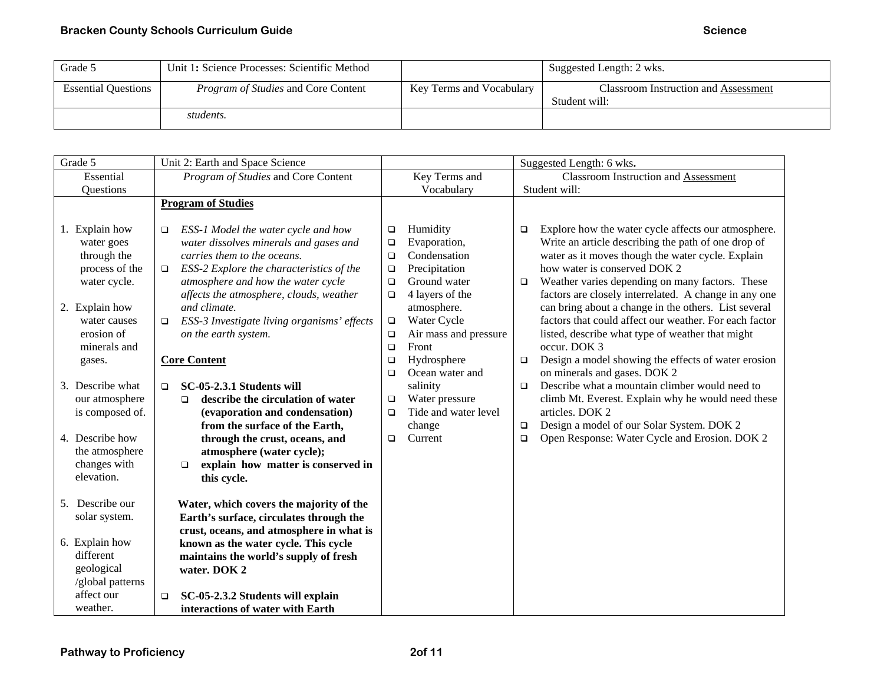| Grade 5                    | Unit 1: Science Processes: Scientific Method |                          | Suggested Length: 2 wks.                                     |
|----------------------------|----------------------------------------------|--------------------------|--------------------------------------------------------------|
| <b>Essential Questions</b> | <i>Program of Studies</i> and Core Content   | Key Terms and Vocabulary | <b>Classroom Instruction and Assessment</b><br>Student will: |
|                            | students.                                    |                          |                                                              |

| <b>Classroom Instruction and Assessment</b>                                                                                                                                                                                                                                 |
|-----------------------------------------------------------------------------------------------------------------------------------------------------------------------------------------------------------------------------------------------------------------------------|
|                                                                                                                                                                                                                                                                             |
|                                                                                                                                                                                                                                                                             |
|                                                                                                                                                                                                                                                                             |
| Explore how the water cycle affects our atmosphere.<br>Write an article describing the path of one drop of<br>water as it moves though the water cycle. Explain<br>Weather varies depending on many factors. These<br>factors are closely interrelated. A change in any one |
| can bring about a change in the others. List several                                                                                                                                                                                                                        |
| factors that could affect our weather. For each factor<br>listed, describe what type of weather that might                                                                                                                                                                  |
| Design a model showing the effects of water erosion                                                                                                                                                                                                                         |
|                                                                                                                                                                                                                                                                             |
| Describe what a mountain climber would need to                                                                                                                                                                                                                              |
| climb Mt. Everest. Explain why he would need these                                                                                                                                                                                                                          |
| Design a model of our Solar System. DOK 2                                                                                                                                                                                                                                   |
| Open Response: Water Cycle and Erosion. DOK 2                                                                                                                                                                                                                               |
|                                                                                                                                                                                                                                                                             |
|                                                                                                                                                                                                                                                                             |
|                                                                                                                                                                                                                                                                             |
|                                                                                                                                                                                                                                                                             |
|                                                                                                                                                                                                                                                                             |
|                                                                                                                                                                                                                                                                             |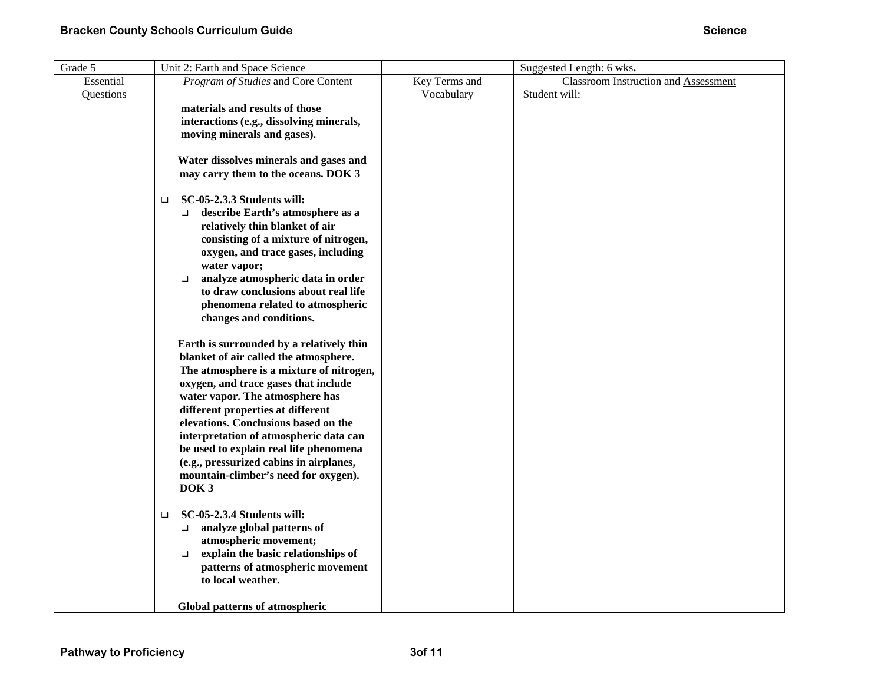| Grade 5   | Unit 2: Earth and Space Science                                                                                                                                                                                                                                                                                                                                                                                                                                                                                                                                                                                                                                                                                                                                                                                                                      |               | Suggested Length: 6 wks.             |
|-----------|------------------------------------------------------------------------------------------------------------------------------------------------------------------------------------------------------------------------------------------------------------------------------------------------------------------------------------------------------------------------------------------------------------------------------------------------------------------------------------------------------------------------------------------------------------------------------------------------------------------------------------------------------------------------------------------------------------------------------------------------------------------------------------------------------------------------------------------------------|---------------|--------------------------------------|
| Essential | Program of Studies and Core Content                                                                                                                                                                                                                                                                                                                                                                                                                                                                                                                                                                                                                                                                                                                                                                                                                  | Key Terms and | Classroom Instruction and Assessment |
| Questions |                                                                                                                                                                                                                                                                                                                                                                                                                                                                                                                                                                                                                                                                                                                                                                                                                                                      | Vocabulary    | Student will:                        |
|           | materials and results of those<br>interactions (e.g., dissolving minerals,<br>moving minerals and gases).<br>Water dissolves minerals and gases and<br>may carry them to the oceans. DOK 3<br>SC-05-2.3.3 Students will:<br>□<br>describe Earth's atmosphere as a<br>$\Box$<br>relatively thin blanket of air<br>consisting of a mixture of nitrogen,<br>oxygen, and trace gases, including<br>water vapor;<br>analyze atmospheric data in order<br>□<br>to draw conclusions about real life<br>phenomena related to atmospheric<br>changes and conditions.<br>Earth is surrounded by a relatively thin<br>blanket of air called the atmosphere.<br>The atmosphere is a mixture of nitrogen,<br>oxygen, and trace gases that include<br>water vapor. The atmosphere has<br>different properties at different<br>elevations. Conclusions based on the |               |                                      |
|           | interpretation of atmospheric data can<br>be used to explain real life phenomena<br>(e.g., pressurized cabins in airplanes,<br>mountain-climber's need for oxygen).<br>DOK <sub>3</sub>                                                                                                                                                                                                                                                                                                                                                                                                                                                                                                                                                                                                                                                              |               |                                      |
|           | <b>SC-05-2.3.4 Students will:</b><br>$\Box$<br>analyze global patterns of<br>$\Box$<br>atmospheric movement;<br>explain the basic relationships of<br>$\Box$<br>patterns of atmospheric movement<br>to local weather.                                                                                                                                                                                                                                                                                                                                                                                                                                                                                                                                                                                                                                |               |                                      |
|           | <b>Global patterns of atmospheric</b>                                                                                                                                                                                                                                                                                                                                                                                                                                                                                                                                                                                                                                                                                                                                                                                                                |               |                                      |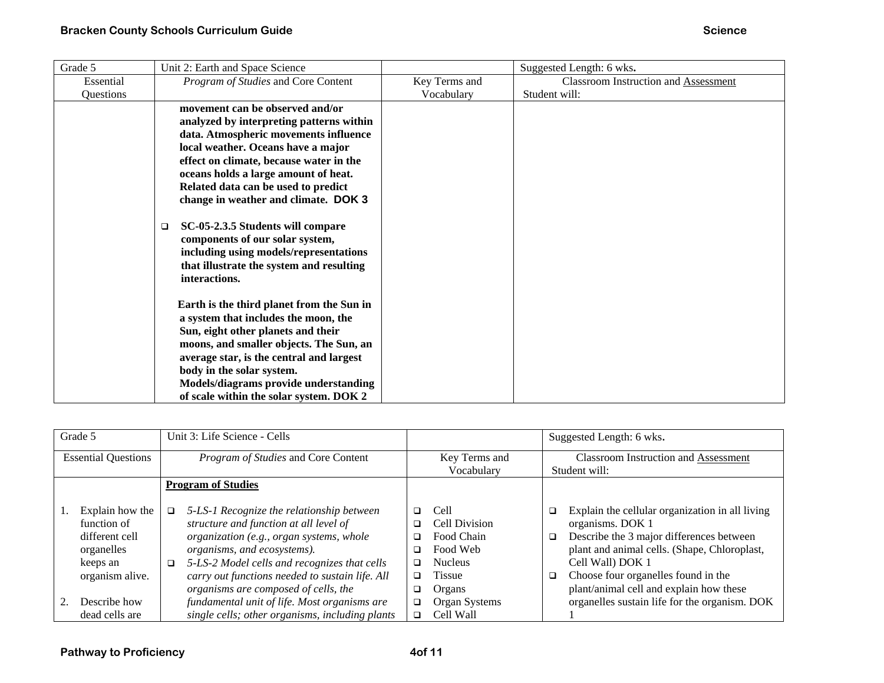| Grade 5   | Unit 2: Earth and Space Science                                                                                                                                                       |               | Suggested Length: 6 wks.                    |
|-----------|---------------------------------------------------------------------------------------------------------------------------------------------------------------------------------------|---------------|---------------------------------------------|
| Essential | Program of Studies and Core Content                                                                                                                                                   | Key Terms and | <b>Classroom Instruction and Assessment</b> |
| Questions |                                                                                                                                                                                       | Vocabulary    | Student will:                               |
|           | movement can be observed and/or                                                                                                                                                       |               |                                             |
|           | analyzed by interpreting patterns within                                                                                                                                              |               |                                             |
|           | data. Atmospheric movements influence                                                                                                                                                 |               |                                             |
|           | local weather. Oceans have a major                                                                                                                                                    |               |                                             |
|           | effect on climate, because water in the                                                                                                                                               |               |                                             |
|           | oceans holds a large amount of heat.                                                                                                                                                  |               |                                             |
|           | Related data can be used to predict                                                                                                                                                   |               |                                             |
|           | change in weather and climate. DOK 3                                                                                                                                                  |               |                                             |
|           | SC-05-2.3.5 Students will compare<br>$\Box$<br>components of our solar system,<br>including using models/representations<br>that illustrate the system and resulting<br>interactions. |               |                                             |
|           | Earth is the third planet from the Sun in                                                                                                                                             |               |                                             |
|           | a system that includes the moon, the                                                                                                                                                  |               |                                             |
|           | Sun, eight other planets and their                                                                                                                                                    |               |                                             |
|           | moons, and smaller objects. The Sun, an                                                                                                                                               |               |                                             |
|           | average star, is the central and largest                                                                                                                                              |               |                                             |
|           | body in the solar system.                                                                                                                                                             |               |                                             |
|           | Models/diagrams provide understanding                                                                                                                                                 |               |                                             |
|           | of scale within the solar system. DOK 2                                                                                                                                               |               |                                             |

| Grade 5                               |                                                      |              | Unit 3: Life Science - Cells                                                                                                                                                                                                                                                                              |                                 |                                                                                              |              | Suggested Length: 6 wks.                                                                                                                                                                                                                                              |
|---------------------------------------|------------------------------------------------------|--------------|-----------------------------------------------------------------------------------------------------------------------------------------------------------------------------------------------------------------------------------------------------------------------------------------------------------|---------------------------------|----------------------------------------------------------------------------------------------|--------------|-----------------------------------------------------------------------------------------------------------------------------------------------------------------------------------------------------------------------------------------------------------------------|
| <b>Essential Questions</b>            |                                                      |              | Program of Studies and Core Content                                                                                                                                                                                                                                                                       |                                 | Key Terms and                                                                                |              | <b>Classroom Instruction and Assessment</b>                                                                                                                                                                                                                           |
|                                       |                                                      |              |                                                                                                                                                                                                                                                                                                           |                                 | Vocabulary                                                                                   |              | Student will:                                                                                                                                                                                                                                                         |
|                                       |                                                      |              | <b>Program of Studies</b>                                                                                                                                                                                                                                                                                 |                                 |                                                                                              |              |                                                                                                                                                                                                                                                                       |
| function of<br>organelles<br>keeps an | Explain how the<br>different cell<br>organism alive. | o.<br>$\Box$ | 5-LS-1 Recognize the relationship between<br>structure and function at all level of<br>organization (e.g., organ systems, whole<br>organisms, and ecosystems).<br>5-LS-2 Model cells and recognizes that cells<br>carry out functions needed to sustain life. All<br>organisms are composed of cells, the | $\Box$<br>□<br>◻<br>□<br>□<br>□ | Cell<br>Cell Division<br>Food Chain<br>Food Web<br><b>Nucleus</b><br><b>Tissue</b><br>Organs | ❏<br>◻<br>o. | Explain the cellular organization in all living<br>organisms. DOK 1<br>Describe the 3 major differences between<br>plant and animal cells. (Shape, Chloroplast,<br>Cell Wall) DOK 1<br>Choose four organilles found in the<br>plant/animal cell and explain how these |
|                                       | Describe how<br>dead cells are                       |              | fundamental unit of life. Most organisms are<br>single cells; other organisms, including plants                                                                                                                                                                                                           | $\Box$<br>□                     | Organ Systems<br>Cell Wall                                                                   |              | organelles sustain life for the organism. DOK                                                                                                                                                                                                                         |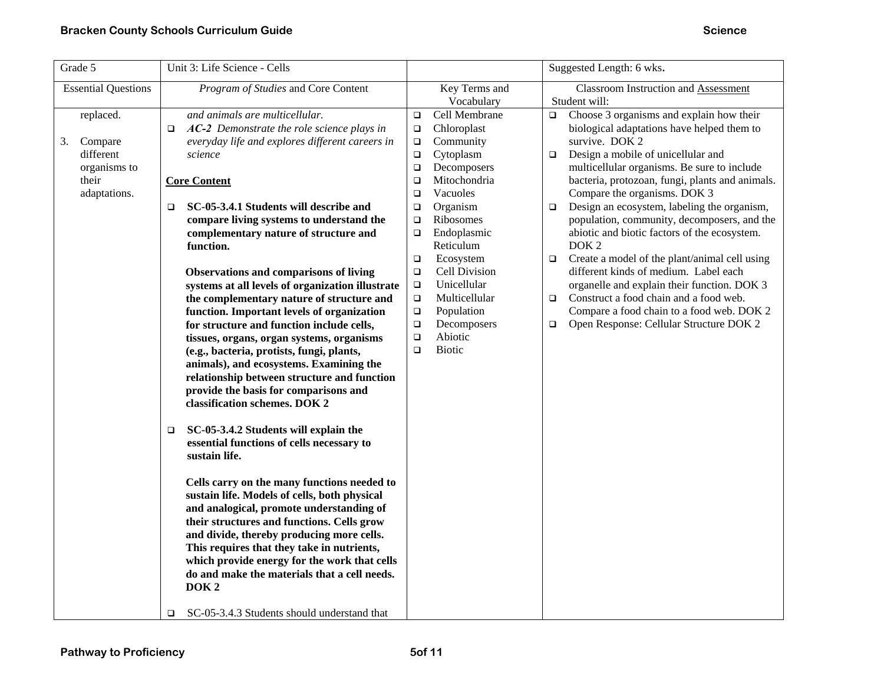| Grade 5                                                                          | Unit 3: Life Science - Cells                                                                                                                                                                                                                                                                                                                                                                                                                                                                                                                                                                                                                                                                                                                                                                                                                                                                                                                                                                                                                                                                                                                                                                                                                                                                                                                                   |                                                                                                                                                                                                                                                                                                                                                                                                                                                              | Suggested Length: 6 wks.                                                                                                                                                                                                                                                                                                                                                                                                                                                                                                                                                                                                                                                                                                                                                                  |
|----------------------------------------------------------------------------------|----------------------------------------------------------------------------------------------------------------------------------------------------------------------------------------------------------------------------------------------------------------------------------------------------------------------------------------------------------------------------------------------------------------------------------------------------------------------------------------------------------------------------------------------------------------------------------------------------------------------------------------------------------------------------------------------------------------------------------------------------------------------------------------------------------------------------------------------------------------------------------------------------------------------------------------------------------------------------------------------------------------------------------------------------------------------------------------------------------------------------------------------------------------------------------------------------------------------------------------------------------------------------------------------------------------------------------------------------------------|--------------------------------------------------------------------------------------------------------------------------------------------------------------------------------------------------------------------------------------------------------------------------------------------------------------------------------------------------------------------------------------------------------------------------------------------------------------|-------------------------------------------------------------------------------------------------------------------------------------------------------------------------------------------------------------------------------------------------------------------------------------------------------------------------------------------------------------------------------------------------------------------------------------------------------------------------------------------------------------------------------------------------------------------------------------------------------------------------------------------------------------------------------------------------------------------------------------------------------------------------------------------|
| <b>Essential Questions</b>                                                       | Program of Studies and Core Content                                                                                                                                                                                                                                                                                                                                                                                                                                                                                                                                                                                                                                                                                                                                                                                                                                                                                                                                                                                                                                                                                                                                                                                                                                                                                                                            | Key Terms and<br>Vocabulary                                                                                                                                                                                                                                                                                                                                                                                                                                  | <b>Classroom Instruction and Assessment</b><br>Student will:                                                                                                                                                                                                                                                                                                                                                                                                                                                                                                                                                                                                                                                                                                                              |
| replaced.<br>3.<br>Compare<br>different<br>organisms to<br>their<br>adaptations. | and animals are multicellular.<br>AC-2 Demonstrate the role science plays in<br>$\Box$<br>everyday life and explores different careers in<br>science<br><b>Core Content</b><br>SC-05-3.4.1 Students will describe and<br>$\Box$<br>compare living systems to understand the<br>complementary nature of structure and<br>function.<br>Observations and comparisons of living<br>systems at all levels of organization illustrate<br>the complementary nature of structure and<br>function. Important levels of organization<br>for structure and function include cells,<br>tissues, organs, organ systems, organisms<br>(e.g., bacteria, protists, fungi, plants,<br>animals), and ecosystems. Examining the<br>relationship between structure and function<br>provide the basis for comparisons and<br>classification schemes. DOK 2<br>SC-05-3.4.2 Students will explain the<br>$\Box$<br>essential functions of cells necessary to<br>sustain life.<br>Cells carry on the many functions needed to<br>sustain life. Models of cells, both physical<br>and analogical, promote understanding of<br>their structures and functions. Cells grow<br>and divide, thereby producing more cells.<br>This requires that they take in nutrients,<br>which provide energy for the work that cells<br>do and make the materials that a cell needs.<br>DOK <sub>2</sub> | Cell Membrane<br>$\Box$<br>Chloroplast<br>$\Box$<br>Community<br>$\Box$<br>$\Box$<br>Cytoplasm<br>Decomposers<br>$\Box$<br>Mitochondria<br>$\Box$<br>Vacuoles<br>□<br>Organism<br>$\Box$<br><b>Ribosomes</b><br>$\Box$<br>Endoplasmic<br>$\Box$<br>Reticulum<br>Ecosystem<br>$\Box$<br>Cell Division<br>$\Box$<br>Unicellular<br>$\Box$<br>Multicellular<br>$\Box$<br>Population<br>$\Box$<br>Decomposers<br>$\Box$<br>Abiotic<br>$\Box$<br>Biotic<br>$\Box$ | Choose 3 organisms and explain how their<br>$\Box$<br>biological adaptations have helped them to<br>survive. DOK 2<br>Design a mobile of unicellular and<br>$\Box$<br>multicellular organisms. Be sure to include<br>bacteria, protozoan, fungi, plants and animals.<br>Compare the organisms. DOK 3<br>Design an ecosystem, labeling the organism,<br>$\Box$<br>population, community, decomposers, and the<br>abiotic and biotic factors of the ecosystem.<br>DOK <sub>2</sub><br>Create a model of the plant/animal cell using<br>$\Box$<br>different kinds of medium. Label each<br>organelle and explain their function. DOK 3<br>Construct a food chain and a food web.<br>$\Box$<br>Compare a food chain to a food web. DOK 2<br>Open Response: Cellular Structure DOK 2<br>$\Box$ |
|                                                                                  | SC-05-3.4.3 Students should understand that<br>□                                                                                                                                                                                                                                                                                                                                                                                                                                                                                                                                                                                                                                                                                                                                                                                                                                                                                                                                                                                                                                                                                                                                                                                                                                                                                                               |                                                                                                                                                                                                                                                                                                                                                                                                                                                              |                                                                                                                                                                                                                                                                                                                                                                                                                                                                                                                                                                                                                                                                                                                                                                                           |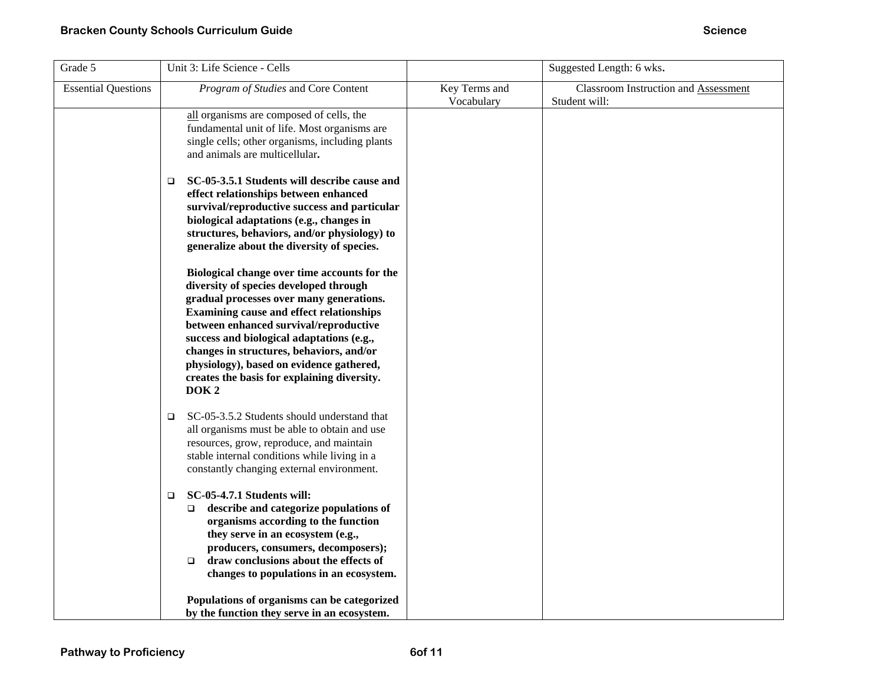| Grade 5                    | Unit 3: Life Science - Cells                                                                                                                                                                                                                                                                                                                                                                                                            |                             | Suggested Length: 6 wks.                              |
|----------------------------|-----------------------------------------------------------------------------------------------------------------------------------------------------------------------------------------------------------------------------------------------------------------------------------------------------------------------------------------------------------------------------------------------------------------------------------------|-----------------------------|-------------------------------------------------------|
| <b>Essential Questions</b> | Program of Studies and Core Content                                                                                                                                                                                                                                                                                                                                                                                                     | Key Terms and<br>Vocabulary | Classroom Instruction and Assessment<br>Student will: |
|                            | all organisms are composed of cells, the<br>fundamental unit of life. Most organisms are<br>single cells; other organisms, including plants<br>and animals are multicellular.                                                                                                                                                                                                                                                           |                             |                                                       |
|                            | SC-05-3.5.1 Students will describe cause and<br>$\Box$<br>effect relationships between enhanced<br>survival/reproductive success and particular<br>biological adaptations (e.g., changes in<br>structures, behaviors, and/or physiology) to<br>generalize about the diversity of species.                                                                                                                                               |                             |                                                       |
|                            | Biological change over time accounts for the<br>diversity of species developed through<br>gradual processes over many generations.<br><b>Examining cause and effect relationships</b><br>between enhanced survival/reproductive<br>success and biological adaptations (e.g.,<br>changes in structures, behaviors, and/or<br>physiology), based on evidence gathered,<br>creates the basis for explaining diversity.<br>DOK <sub>2</sub> |                             |                                                       |
|                            | SC-05-3.5.2 Students should understand that<br>$\Box$<br>all organisms must be able to obtain and use<br>resources, grow, reproduce, and maintain<br>stable internal conditions while living in a<br>constantly changing external environment.                                                                                                                                                                                          |                             |                                                       |
|                            | SC-05-4.7.1 Students will:<br>$\Box$<br>describe and categorize populations of<br>$\Box$<br>organisms according to the function<br>they serve in an ecosystem (e.g.,<br>producers, consumers, decomposers);<br>draw conclusions about the effects of<br>$\Box$<br>changes to populations in an ecosystem.                                                                                                                               |                             |                                                       |
|                            | Populations of organisms can be categorized<br>by the function they serve in an ecosystem.                                                                                                                                                                                                                                                                                                                                              |                             |                                                       |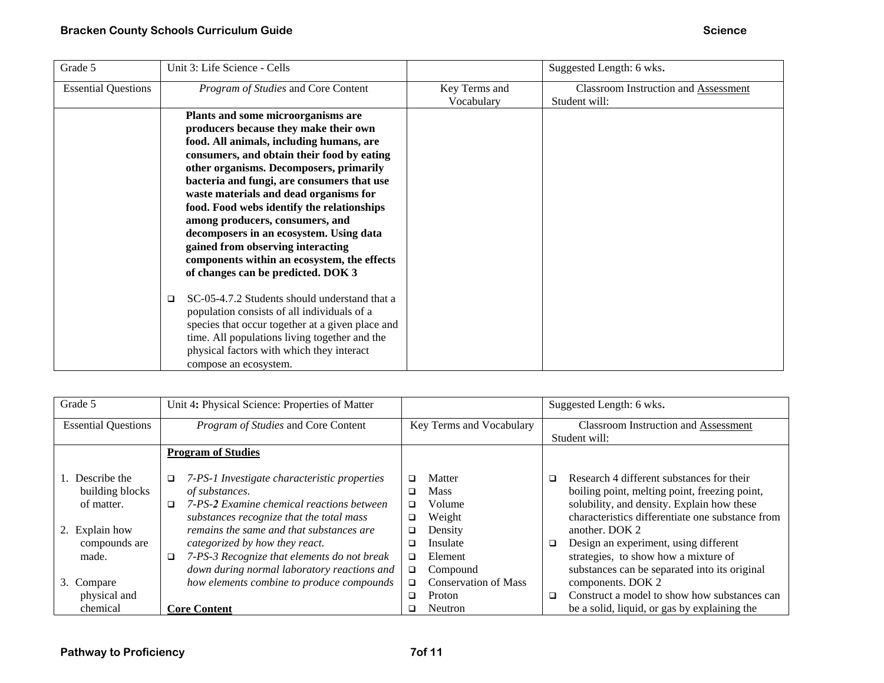| Grade 5                    | Unit 3: Life Science - Cells                                                                                                                                                                                                                                                                                                                                                                                                                                                                                                                                   |                             | Suggested Length: 6 wks.                              |
|----------------------------|----------------------------------------------------------------------------------------------------------------------------------------------------------------------------------------------------------------------------------------------------------------------------------------------------------------------------------------------------------------------------------------------------------------------------------------------------------------------------------------------------------------------------------------------------------------|-----------------------------|-------------------------------------------------------|
| <b>Essential Questions</b> | Program of Studies and Core Content                                                                                                                                                                                                                                                                                                                                                                                                                                                                                                                            | Key Terms and<br>Vocabulary | Classroom Instruction and Assessment<br>Student will: |
|                            | Plants and some microorganisms are<br>producers because they make their own<br>food. All animals, including humans, are<br>consumers, and obtain their food by eating<br>other organisms. Decomposers, primarily<br>bacteria and fungi, are consumers that use<br>waste materials and dead organisms for<br>food. Food webs identify the relationships<br>among producers, consumers, and<br>decomposers in an ecosystem. Using data<br>gained from observing interacting<br>components within an ecosystem, the effects<br>of changes can be predicted. DOK 3 |                             |                                                       |
|                            | SC-05-4.7.2 Students should understand that a<br>$\Box$<br>population consists of all individuals of a<br>species that occur together at a given place and<br>time. All populations living together and the<br>physical factors with which they interact<br>compose an ecosystem.                                                                                                                                                                                                                                                                              |                             |                                                       |

| Grade 5                    | Unit 4: Physical Science: Properties of Matter         |                                  | Suggested Length: 6 wks.                         |
|----------------------------|--------------------------------------------------------|----------------------------------|--------------------------------------------------|
| <b>Essential Questions</b> | Program of Studies and Core Content                    | Key Terms and Vocabulary         | <b>Classroom Instruction and Assessment</b>      |
|                            |                                                        |                                  | Student will:                                    |
|                            | <b>Program of Studies</b>                              |                                  |                                                  |
|                            |                                                        |                                  |                                                  |
| 1. Describe the            | 7-PS-1 Investigate characteristic properties<br>$\Box$ | Matter<br>◻                      | Research 4 different substances for their        |
| building blocks            | of substances.                                         | <b>Mass</b><br>◻                 | boiling point, melting point, freezing point,    |
| of matter.                 | 7-PS-2 Examine chemical reactions between<br>$\Box$    | Volume<br>□                      | solubility, and density. Explain how these       |
|                            | substances recognize that the total mass               | Weight<br>□                      | characteristics differentiate one substance from |
| 2. Explain how             | remains the same and that substances are               | Density<br>□                     | another. DOK 2                                   |
| compounds are              | categorized by how they react.                         | Insulate<br>□                    | Design an experiment, using different            |
| made.                      | 7-PS-3 Recognize that elements do not break<br>$\Box$  | Element<br>◻                     | strategies, to show how a mixture of             |
|                            | down during normal laboratory reactions and            | Compound<br>$\Box$               | substances can be separated into its original    |
| 3. Compare                 | how elements combine to produce compounds              | <b>Conservation of Mass</b><br>▫ | components. DOK 2                                |
| physical and               |                                                        | Proton<br>◻                      | Construct a model to show how substances can     |
| chemical                   | <b>Core Content</b>                                    | Neutron                          | be a solid, liquid, or gas by explaining the     |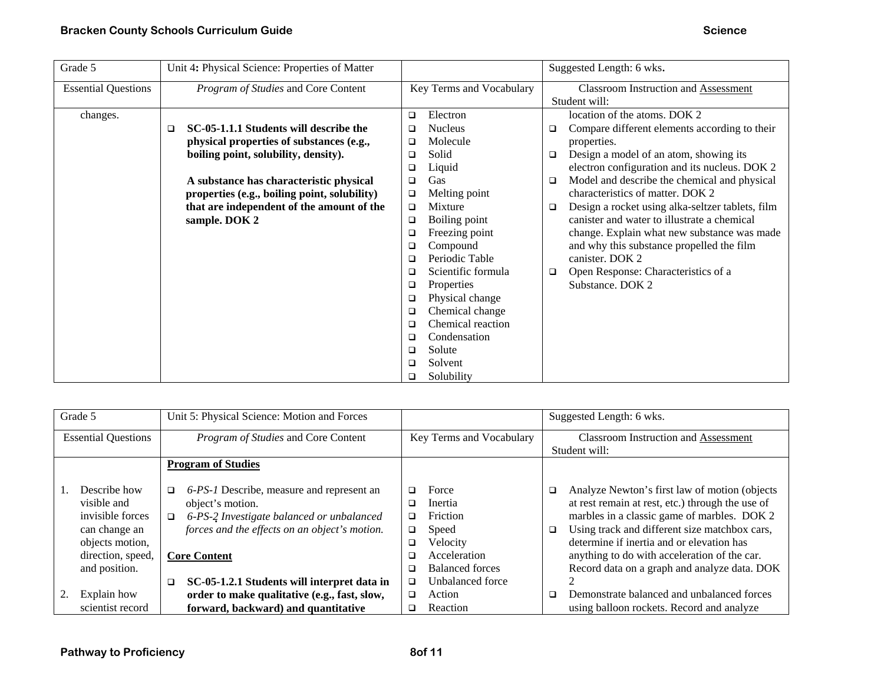| Grade 5                    | Unit 4: Physical Science: Properties of Matter                                                                                                                                                                                                                                           |                                                                                                                                                                                                                                                                                                           | Suggested Length: 6 wks.                                                                                                                                                                                                                                                                                                                                                                                                                                                                                                                                                          |
|----------------------------|------------------------------------------------------------------------------------------------------------------------------------------------------------------------------------------------------------------------------------------------------------------------------------------|-----------------------------------------------------------------------------------------------------------------------------------------------------------------------------------------------------------------------------------------------------------------------------------------------------------|-----------------------------------------------------------------------------------------------------------------------------------------------------------------------------------------------------------------------------------------------------------------------------------------------------------------------------------------------------------------------------------------------------------------------------------------------------------------------------------------------------------------------------------------------------------------------------------|
| <b>Essential Questions</b> | Program of Studies and Core Content                                                                                                                                                                                                                                                      | Key Terms and Vocabulary                                                                                                                                                                                                                                                                                  | <b>Classroom Instruction and Assessment</b><br>Student will:                                                                                                                                                                                                                                                                                                                                                                                                                                                                                                                      |
| changes.                   | SC-05-1.1.1 Students will describe the<br>□<br>physical properties of substances (e.g.,<br>boiling point, solubility, density).<br>A substance has characteristic physical<br>properties (e.g., boiling point, solubility)<br>that are independent of the amount of the<br>sample. DOK 2 | Electron<br>$\Box$<br><b>Nucleus</b><br>□<br>Molecule<br>□<br>Solid<br>□<br>Liquid<br>□<br>Gas<br>□<br>Melting point<br>□<br>Mixture<br>$\Box$<br>Boiling point<br>□<br>Freezing point<br>□<br>Compound<br>□<br>Periodic Table<br>□<br>Scientific formula<br>□<br>Properties<br>□<br>Physical change<br>□ | location of the atoms. DOK 2<br>Compare different elements according to their<br>□<br>properties.<br>Design a model of an atom, showing its<br>❏<br>electron configuration and its nucleus. DOK 2<br>Model and describe the chemical and physical<br>□<br>characteristics of matter. DOK 2<br>Design a rocket using alka-seltzer tablets, film<br>□<br>canister and water to illustrate a chemical<br>change. Explain what new substance was made<br>and why this substance propelled the film<br>canister. DOK 2<br>Open Response: Characteristics of a<br>□<br>Substance. DOK 2 |
|                            |                                                                                                                                                                                                                                                                                          | Chemical change<br>□<br>Chemical reaction<br>$\Box$<br>Condensation<br>□<br>Solute<br>□<br>Solvent<br>□<br>Solubility<br>□                                                                                                                                                                                |                                                                                                                                                                                                                                                                                                                                                                                                                                                                                                                                                                                   |

| Grade 5                    | Unit 5: Physical Science: Motion and Forces                     |                             | Suggested Length: 6 wks.                            |
|----------------------------|-----------------------------------------------------------------|-----------------------------|-----------------------------------------------------|
| <b>Essential Questions</b> | Program of Studies and Core Content<br>Key Terms and Vocabulary |                             | <b>Classroom Instruction and Assessment</b>         |
|                            |                                                                 |                             | Student will:                                       |
|                            | <b>Program of Studies</b>                                       |                             |                                                     |
|                            |                                                                 |                             |                                                     |
| Describe how               | 6-PS-1 Describe, measure and represent an<br>$\Box$             | Force<br>□                  | Analyze Newton's first law of motion (objects)<br>◻ |
| visible and                | object's motion.                                                | Inertia<br>◻                | at rest remain at rest, etc.) through the use of    |
| invisible forces           | 6-PS-2 Investigate balanced or unbalanced<br>$\Box$             | Friction<br>◻               | marbles in a classic game of marbles. DOK 2         |
| can change an              | forces and the effects on an object's motion.                   | Speed<br>❏                  | Using track and different size matchbox cars,<br>❏  |
| objects motion,            |                                                                 | Velocity<br>□               | determine if inertia and or elevation has           |
| direction, speed,          | <b>Core Content</b>                                             | Acceleration                | anything to do with acceleration of the car.        |
| and position.              |                                                                 | <b>Balanced forces</b><br>◻ | Record data on a graph and analyze data. DOK        |
|                            | SC-05-1.2.1 Students will interpret data in<br>$\Box$           | Unbalanced force<br>□       |                                                     |
| Explain how                | order to make qualitative (e.g., fast, slow,                    | Action<br>◻                 | Demonstrate balanced and unbalanced forces<br>□     |
| scientist record           | forward, backward) and quantitative                             | Reaction<br>□               | using balloon rockets. Record and analyze           |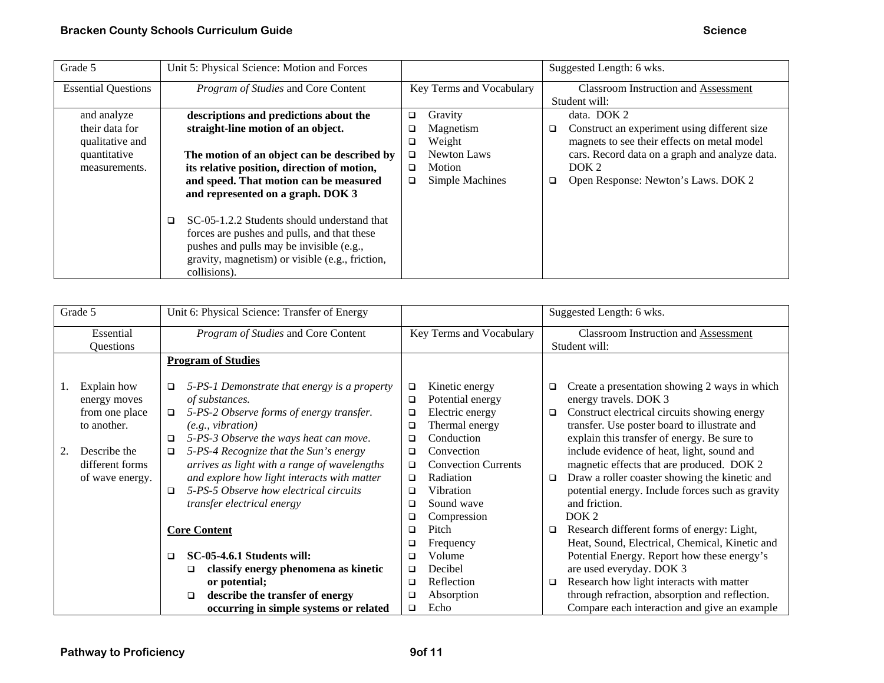| Grade 5                    | Unit 5: Physical Science: Motion and Forces                                                                                                                                                                    |                             | Suggested Length: 6 wks.                          |
|----------------------------|----------------------------------------------------------------------------------------------------------------------------------------------------------------------------------------------------------------|-----------------------------|---------------------------------------------------|
| <b>Essential Questions</b> | Program of Studies and Core Content                                                                                                                                                                            | Key Terms and Vocabulary    | <b>Classroom Instruction and Assessment</b>       |
|                            |                                                                                                                                                                                                                |                             | Student will:                                     |
| and analyze                | descriptions and predictions about the                                                                                                                                                                         | Gravity<br>$\Box$           | data. DOK 2                                       |
| their data for             | straight-line motion of an object.                                                                                                                                                                             | Magnetism<br>❏              | Construct an experiment using different size<br>□ |
| qualitative and            |                                                                                                                                                                                                                | Weight<br>□                 | magnets to see their effects on metal model       |
| quantitative               | The motion of an object can be described by                                                                                                                                                                    | Newton Laws<br>◻            | cars. Record data on a graph and analyze data.    |
| measurements.              | its relative position, direction of motion,                                                                                                                                                                    | Motion<br>□                 | DOK <sub>2</sub>                                  |
|                            | and speed. That motion can be measured                                                                                                                                                                         | <b>Simple Machines</b><br>□ | Open Response: Newton's Laws. DOK 2<br>$\Box$     |
|                            | and represented on a graph. DOK 3                                                                                                                                                                              |                             |                                                   |
|                            | SC-05-1.2.2 Students should understand that<br>□<br>forces are pushes and pulls, and that these<br>pushes and pulls may be invisible (e.g.,<br>gravity, magnetism) or visible (e.g., friction,<br>collisions). |                             |                                                   |

| Grade 5                                                                                               | Unit 6: Physical Science: Transfer of Energy                                                                                                                                                                                                                                                                |                                                                                                                                                                           | Suggested Length: 6 wks.                                                                                                                                                                                                                                                                                              |
|-------------------------------------------------------------------------------------------------------|-------------------------------------------------------------------------------------------------------------------------------------------------------------------------------------------------------------------------------------------------------------------------------------------------------------|---------------------------------------------------------------------------------------------------------------------------------------------------------------------------|-----------------------------------------------------------------------------------------------------------------------------------------------------------------------------------------------------------------------------------------------------------------------------------------------------------------------|
| Essential<br>Questions                                                                                | Program of Studies and Core Content                                                                                                                                                                                                                                                                         | Key Terms and Vocabulary                                                                                                                                                  | <b>Classroom Instruction and Assessment</b><br>Student will:                                                                                                                                                                                                                                                          |
|                                                                                                       | <b>Program of Studies</b>                                                                                                                                                                                                                                                                                   |                                                                                                                                                                           |                                                                                                                                                                                                                                                                                                                       |
| Explain how<br>energy moves<br>from one place<br>to another.<br>Describe the<br>2.<br>different forms | 5-PS-1 Demonstrate that energy is a property<br>$\Box$<br>of substances.<br>5-PS-2 Observe forms of energy transfer.<br>$\Box$<br>(e.g., vibration)<br>5-PS-3 Observe the ways heat can move.<br>$\Box$<br>5-PS-4 Recognize that the Sun's energy<br>$\Box$<br>arrives as light with a range of wavelengths | Kinetic energy<br>□<br>Potential energy<br>□<br>Electric energy<br>$\Box$<br>Thermal energy<br>□<br>Conduction<br>❏<br>Convection<br>□<br><b>Convection Currents</b><br>□ | Create a presentation showing 2 ways in which<br>energy travels. DOK 3<br>Construct electrical circuits showing energy<br>□<br>transfer. Use poster board to illustrate and<br>explain this transfer of energy. Be sure to<br>include evidence of heat, light, sound and<br>magnetic effects that are produced. DOK 2 |
| of wave energy.                                                                                       | and explore how light interacts with matter<br>5-PS-5 Observe how electrical circuits<br>$\Box$<br>transfer electrical energy                                                                                                                                                                               | Radiation<br>□<br>Vibration<br>□<br>Sound wave<br>❏<br>Compression<br>❏                                                                                                   | Draw a roller coaster showing the kinetic and<br>□<br>potential energy. Include forces such as gravity<br>and friction.<br>DOK <sub>2</sub>                                                                                                                                                                           |
|                                                                                                       | <b>Core Content</b>                                                                                                                                                                                                                                                                                         | Pitch<br>□<br>Frequency<br>□                                                                                                                                              | Research different forms of energy: Light,<br>Heat, Sound, Electrical, Chemical, Kinetic and                                                                                                                                                                                                                          |
|                                                                                                       | <b>SC-05-4.6.1 Students will:</b><br>□<br>classify energy phenomena as kinetic<br>o                                                                                                                                                                                                                         | Volume<br>❏<br>Decibel<br>❏                                                                                                                                               | Potential Energy. Report how these energy's<br>are used everyday. DOK 3                                                                                                                                                                                                                                               |
|                                                                                                       | or potential;<br>describe the transfer of energy<br>□                                                                                                                                                                                                                                                       | Reflection<br>□<br>Absorption<br>□<br>Echo                                                                                                                                | Research how light interacts with matter<br>□<br>through refraction, absorption and reflection.                                                                                                                                                                                                                       |
|                                                                                                       | occurring in simple systems or related                                                                                                                                                                                                                                                                      | □                                                                                                                                                                         | Compare each interaction and give an example                                                                                                                                                                                                                                                                          |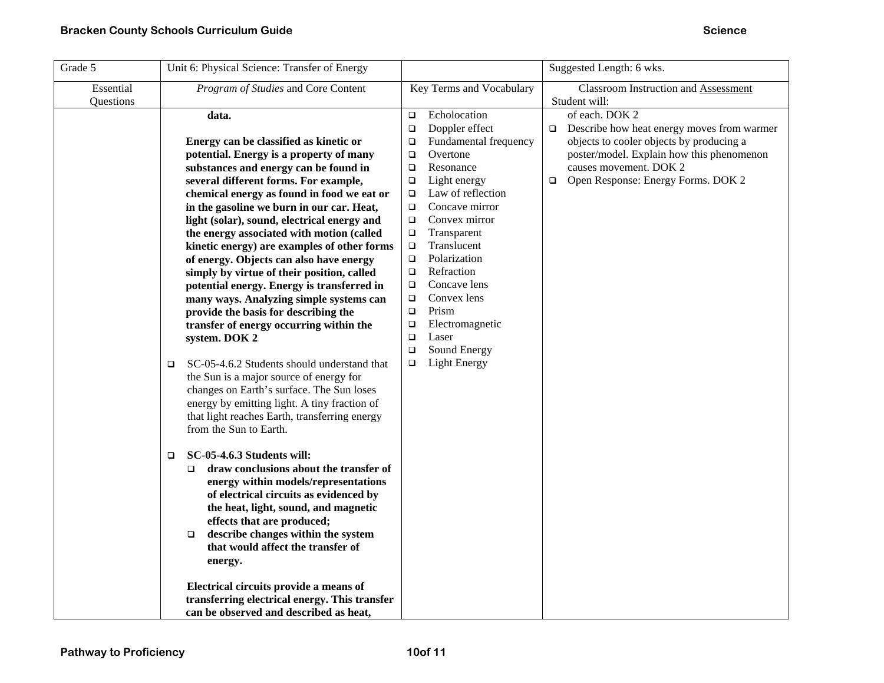| Grade 5                | Unit 6: Physical Science: Transfer of Energy                                                                                                                                                                                                                                                                                                                                                                                                                                                                                                                                                                                                                                                                                                                                                                                                                                                                                                                                                                                                                                                                                                                                                                                                                                                                              |                                                                                                                                                                                                                                                                                                                                                                                                                                                                                                                                    | Suggested Length: 6 wks.                                                                                                                                                                                                                  |
|------------------------|---------------------------------------------------------------------------------------------------------------------------------------------------------------------------------------------------------------------------------------------------------------------------------------------------------------------------------------------------------------------------------------------------------------------------------------------------------------------------------------------------------------------------------------------------------------------------------------------------------------------------------------------------------------------------------------------------------------------------------------------------------------------------------------------------------------------------------------------------------------------------------------------------------------------------------------------------------------------------------------------------------------------------------------------------------------------------------------------------------------------------------------------------------------------------------------------------------------------------------------------------------------------------------------------------------------------------|------------------------------------------------------------------------------------------------------------------------------------------------------------------------------------------------------------------------------------------------------------------------------------------------------------------------------------------------------------------------------------------------------------------------------------------------------------------------------------------------------------------------------------|-------------------------------------------------------------------------------------------------------------------------------------------------------------------------------------------------------------------------------------------|
| Essential<br>Questions | Program of Studies and Core Content                                                                                                                                                                                                                                                                                                                                                                                                                                                                                                                                                                                                                                                                                                                                                                                                                                                                                                                                                                                                                                                                                                                                                                                                                                                                                       | Key Terms and Vocabulary                                                                                                                                                                                                                                                                                                                                                                                                                                                                                                           | Classroom Instruction and Assessment<br>Student will:                                                                                                                                                                                     |
|                        | data.<br>Energy can be classified as kinetic or<br>potential. Energy is a property of many<br>substances and energy can be found in<br>several different forms. For example,<br>chemical energy as found in food we eat or<br>in the gasoline we burn in our car. Heat,<br>light (solar), sound, electrical energy and<br>the energy associated with motion (called<br>kinetic energy) are examples of other forms<br>of energy. Objects can also have energy<br>simply by virtue of their position, called<br>potential energy. Energy is transferred in<br>many ways. Analyzing simple systems can<br>provide the basis for describing the<br>transfer of energy occurring within the<br>system. DOK 2<br>SC-05-4.6.2 Students should understand that<br>□<br>the Sun is a major source of energy for<br>changes on Earth's surface. The Sun loses<br>energy by emitting light. A tiny fraction of<br>that light reaches Earth, transferring energy<br>from the Sun to Earth.<br>SC-05-4.6.3 Students will:<br>❏<br>draw conclusions about the transfer of<br>□<br>energy within models/representations<br>of electrical circuits as evidenced by<br>the heat, light, sound, and magnetic<br>effects that are produced;<br>describe changes within the system<br>$\Box$<br>that would affect the transfer of<br>energy. | Echolocation<br>$\Box$<br>Doppler effect<br>$\Box$<br>Fundamental frequency<br>□<br>Overtone<br>$\Box$<br>Resonance<br>$\Box$<br>Light energy<br>$\Box$<br>Law of reflection<br>$\Box$<br>Concave mirror<br>$\Box$<br>Convex mirror<br>$\Box$<br>Transparent<br>$\Box$<br>Translucent<br>$\Box$<br>Polarization<br>$\Box$<br>Refraction<br>$\Box$<br>Concave lens<br>$\Box$<br>Convex lens<br>$\Box$<br>Prism<br>$\Box$<br>Electromagnetic<br>$\Box$<br>Laser<br>$\Box$<br>Sound Energy<br>$\Box$<br><b>Light Energy</b><br>$\Box$ | of each. DOK 2<br>Describe how heat energy moves from warmer<br>$\Box$<br>objects to cooler objects by producing a<br>poster/model. Explain how this phenomenon<br>causes movement. DOK 2<br>Open Response: Energy Forms. DOK 2<br>$\Box$ |
|                        | Electrical circuits provide a means of<br>transferring electrical energy. This transfer<br>can be observed and described as heat,                                                                                                                                                                                                                                                                                                                                                                                                                                                                                                                                                                                                                                                                                                                                                                                                                                                                                                                                                                                                                                                                                                                                                                                         |                                                                                                                                                                                                                                                                                                                                                                                                                                                                                                                                    |                                                                                                                                                                                                                                           |